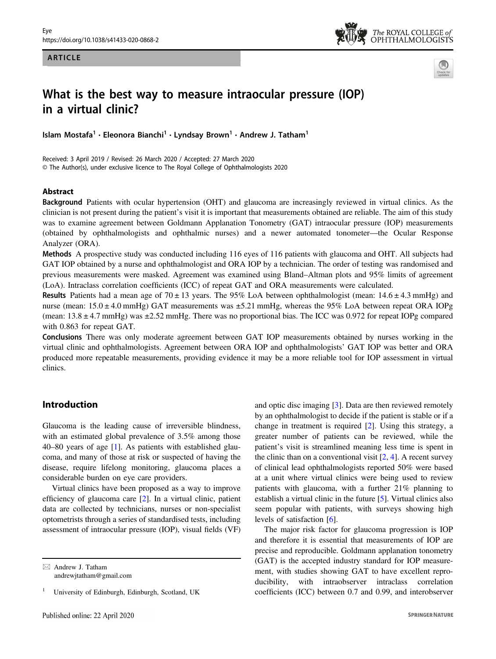#### ARTICLE





# What is the best way to measure intraocular pressure (IOP) in a virtual clinic?

Islam Mostafa<sup>1</sup> • Eleonora Bianchi<sup>1</sup> • Lyndsay Brown<sup>1</sup> • Andrew J. Tatham<sup>1</sup>

Received: 3 April 2019 / Revised: 26 March 2020 / Accepted: 27 March 2020 © The Author(s), under exclusive licence to The Royal College of Ophthalmologists 2020

#### Abstract

Background Patients with ocular hypertension (OHT) and glaucoma are increasingly reviewed in virtual clinics. As the clinician is not present during the patient's visit it is important that measurements obtained are reliable. The aim of this study was to examine agreement between Goldmann Applanation Tonometry (GAT) intraocular pressure (IOP) measurements (obtained by ophthalmologists and ophthalmic nurses) and a newer automated tonometer—the Ocular Response Analyzer (ORA).

Methods A prospective study was conducted including 116 eyes of 116 patients with glaucoma and OHT. All subjects had GAT IOP obtained by a nurse and ophthalmologist and ORA IOP by a technician. The order of testing was randomised and previous measurements were masked. Agreement was examined using Bland–Altman plots and 95% limits of agreement (LoA). Intraclass correlation coefficients (ICC) of repeat GAT and ORA measurements were calculated.

**Results** Patients had a mean age of  $70 \pm 13$  years. The 95% LoA between ophthalmologist (mean:  $14.6 \pm 4.3$  mmHg) and nurse (mean:  $15.0 \pm 4.0$  mmHg) GAT measurements was  $\pm 5.21$  mmHg, whereas the 95% LoA between repeat ORA IOPg (mean: 13.8 ± 4.7 mmHg) was ±2.52 mmHg. There was no proportional bias. The ICC was 0.972 for repeat IOPg compared with 0.863 for repeat GAT.

Conclusions There was only moderate agreement between GAT IOP measurements obtained by nurses working in the virtual clinic and ophthalmologists. Agreement between ORA IOP and ophthalmologists' GAT IOP was better and ORA produced more repeatable measurements, providing evidence it may be a more reliable tool for IOP assessment in virtual clinics.

# Introduction

Glaucoma is the leading cause of irreversible blindness, with an estimated global prevalence of 3.5% among those 40–80 years of age [[1\]](#page-5-0). As patients with established glaucoma, and many of those at risk or suspected of having the disease, require lifelong monitoring, glaucoma places a considerable burden on eye care providers.

Virtual clinics have been proposed as a way to improve efficiency of glaucoma care [[2\]](#page-5-0). In a virtual clinic, patient data are collected by technicians, nurses or non-specialist optometrists through a series of standardised tests, including assessment of intraocular pressure (IOP), visual fields (VF) and optic disc imaging [[3\]](#page-6-0). Data are then reviewed remotely by an ophthalmologist to decide if the patient is stable or if a change in treatment is required [[2\]](#page-5-0). Using this strategy, a greater number of patients can be reviewed, while the patient's visit is streamlined meaning less time is spent in the clinic than on a conventional visit  $[2, 4]$  $[2, 4]$  $[2, 4]$ . A recent survey of clinical lead ophthalmologists reported 50% were based at a unit where virtual clinics were being used to review patients with glaucoma, with a further 21% planning to establish a virtual clinic in the future [[5\]](#page-6-0). Virtual clinics also seem popular with patients, with surveys showing high levels of satisfaction [\[6](#page-6-0)].

The major risk factor for glaucoma progression is IOP and therefore it is essential that measurements of IOP are precise and reproducible. Goldmann applanation tonometry (GAT) is the accepted industry standard for IOP measurement, with studies showing GAT to have excellent reproducibility, with intraobserver intraclass correlation coefficients (ICC) between 0.7 and 0.99, and interobserver

 $\boxtimes$  Andrew J. Tatham [andrewjtatham@gmail.com](mailto:andrewjtatham@gmail.com)

<sup>1</sup> University of Edinburgh, Edinburgh, Scotland, UK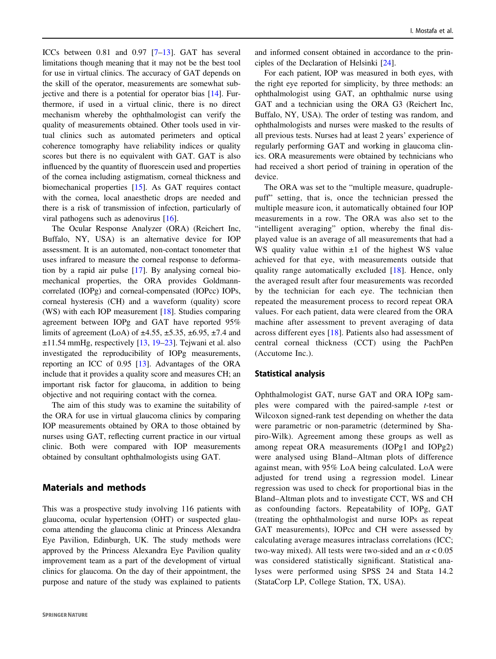ICCs between 0.81 and 0.97 [\[7](#page-6-0)–[13](#page-6-0)]. GAT has several limitations though meaning that it may not be the best tool for use in virtual clinics. The accuracy of GAT depends on the skill of the operator, measurements are somewhat subjective and there is a potential for operator bias [[14\]](#page-6-0). Furthermore, if used in a virtual clinic, there is no direct mechanism whereby the ophthalmologist can verify the quality of measurements obtained. Other tools used in virtual clinics such as automated perimeters and optical coherence tomography have reliability indices or quality scores but there is no equivalent with GAT. GAT is also influenced by the quantity of fluorescein used and properties of the cornea including astigmatism, corneal thickness and biomechanical properties [\[15](#page-6-0)]. As GAT requires contact with the cornea, local anaesthetic drops are needed and there is a risk of transmission of infection, particularly of viral pathogens such as adenovirus [[16\]](#page-6-0).

The Ocular Response Analyzer (ORA) (Reichert Inc, Buffalo, NY, USA) is an alternative device for IOP assessment. It is an automated, non-contact tonometer that uses infrared to measure the corneal response to deformation by a rapid air pulse [[17](#page-6-0)]. By analysing corneal biomechanical properties, the ORA provides Goldmanncorrelated (IOPg) and corneal-compensated (IOPcc) IOPs, corneal hysteresis (CH) and a waveform (quality) score (WS) with each IOP measurement [[18\]](#page-6-0). Studies comparing agreement between IOPg and GAT have reported 95% limits of agreement (LoA) of  $\pm$ 4.55,  $\pm$ 5.35,  $\pm$ 6.95,  $\pm$ 7.4 and ±11.54 mmHg, respectively [\[13](#page-6-0), [19](#page-6-0)–[23\]](#page-6-0). Tejwani et al. also investigated the reproducibility of IOPg measurements, reporting an ICC of 0.95 [\[13](#page-6-0)]. Advantages of the ORA include that it provides a quality score and measures CH; an important risk factor for glaucoma, in addition to being objective and not requiring contact with the cornea.

The aim of this study was to examine the suitability of the ORA for use in virtual glaucoma clinics by comparing IOP measurements obtained by ORA to those obtained by nurses using GAT, reflecting current practice in our virtual clinic. Both were compared with IOP measurements obtained by consultant ophthalmologists using GAT.

#### Materials and methods

This was a prospective study involving 116 patients with glaucoma, ocular hypertension (OHT) or suspected glaucoma attending the glaucoma clinic at Princess Alexandra Eye Pavilion, Edinburgh, UK. The study methods were approved by the Princess Alexandra Eye Pavilion quality improvement team as a part of the development of virtual clinics for glaucoma. On the day of their appointment, the purpose and nature of the study was explained to patients

and informed consent obtained in accordance to the principles of the Declaration of Helsinki [\[24](#page-6-0)].

For each patient, IOP was measured in both eyes, with the right eye reported for simplicity, by three methods: an ophthalmologist using GAT, an ophthalmic nurse using GAT and a technician using the ORA G3 (Reichert Inc, Buffalo, NY, USA). The order of testing was random, and ophthalmologists and nurses were masked to the results of all previous tests. Nurses had at least 2 years' experience of regularly performing GAT and working in glaucoma clinics. ORA measurements were obtained by technicians who had received a short period of training in operation of the device.

The ORA was set to the "multiple measure, quadruplepuff" setting, that is, once the technician pressed the multiple measure icon, it automatically obtained four IOP measurements in a row. The ORA was also set to the "intelligent averaging" option, whereby the final displayed value is an average of all measurements that had a WS quality value within  $\pm 1$  of the highest WS value achieved for that eye, with measurements outside that quality range automatically excluded [[18](#page-6-0)]. Hence, only the averaged result after four measurements was recorded by the technician for each eye. The technician then repeated the measurement process to record repeat ORA values. For each patient, data were cleared from the ORA machine after assessment to prevent averaging of data across different eyes [[18\]](#page-6-0). Patients also had assessment of central corneal thickness (CCT) using the PachPen (Accutome Inc.).

#### Statistical analysis

Ophthalmologist GAT, nurse GAT and ORA IOPg samples were compared with the paired-sample t-test or Wilcoxon signed-rank test depending on whether the data were parametric or non-parametric (determined by Shapiro-Wilk). Agreement among these groups as well as among repeat ORA measurements (IOPg1 and IOPg2) were analysed using Bland–Altman plots of difference against mean, with 95% LoA being calculated. LoA were adjusted for trend using a regression model. Linear regression was used to check for proportional bias in the Bland–Altman plots and to investigate CCT, WS and CH as confounding factors. Repeatability of IOPg, GAT (treating the ophthalmologist and nurse IOPs as repeat GAT measurements), IOPcc and CH were assessed by calculating average measures intraclass correlations (ICC; two-way mixed). All tests were two-sided and an  $\alpha$  < 0.05 was considered statistically significant. Statistical analyses were performed using SPSS 24 and Stata 14.2 (StataCorp LP, College Station, TX, USA).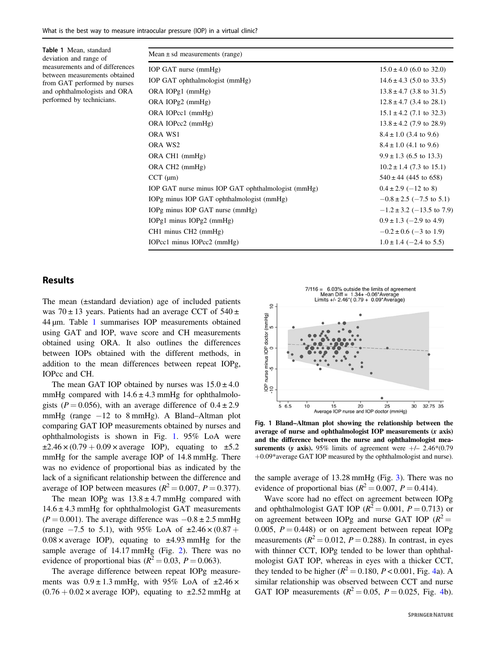| Table 1 Mean, standard<br>deviation and range of<br>measurements and of differences<br>between measurements obtained<br>from GAT performed by nurses<br>and ophthalmologists and ORA<br>performed by technicians. | Mean $\pm$ sd measurements (range)                 |                               |
|-------------------------------------------------------------------------------------------------------------------------------------------------------------------------------------------------------------------|----------------------------------------------------|-------------------------------|
|                                                                                                                                                                                                                   | IOP GAT nurse (mmHg)                               | $15.0 \pm 4.0$ (6.0 to 32.0)  |
|                                                                                                                                                                                                                   | IOP GAT ophthalmologist (mmHg)                     | $14.6 \pm 4.3$ (5.0 to 33.5)  |
|                                                                                                                                                                                                                   | ORA $IOPg1$ (mmHg)                                 | $13.8 \pm 4.7$ (3.8 to 31.5)  |
|                                                                                                                                                                                                                   | ORA $IOPg2$ (mmHg)                                 | $12.8 \pm 4.7$ (3.4 to 28.1)  |
|                                                                                                                                                                                                                   | ORA IOPcc1 (mmHg)                                  | $15.1 \pm 4.2$ (7.1 to 32.3)  |
|                                                                                                                                                                                                                   | ORA IOPcc2 (mmHg)                                  | $13.8 \pm 4.2$ (7.9 to 28.9)  |
|                                                                                                                                                                                                                   | ORA WS1                                            | $8.4 \pm 1.0$ (3.4 to 9.6)    |
|                                                                                                                                                                                                                   | ORA WS2                                            | $8.4 \pm 1.0$ (4.1 to 9.6)    |
|                                                                                                                                                                                                                   | ORA CH1 (mmHg)                                     | $9.9 \pm 1.3$ (6.5 to 13.3)   |
|                                                                                                                                                                                                                   | ORA CH <sub>2</sub> (mmHg)                         | $10.2 \pm 1.4$ (7.3 to 15.1)  |
|                                                                                                                                                                                                                   | $CCT$ ( $\mu$ m)                                   | $540 \pm 44$ (445 to 658)     |
|                                                                                                                                                                                                                   | IOP GAT nurse minus IOP GAT ophthalmologist (mmHg) | $0.4 \pm 2.9$ (-12 to 8)      |
|                                                                                                                                                                                                                   | IOPg minus IOP GAT ophthalmologist (mmHg)          | $-0.8 \pm 2.5$ (-7.5 to 5.1)  |
|                                                                                                                                                                                                                   | IOPg minus IOP GAT nurse (mmHg)                    | $-1.2 \pm 3.2$ (-13.5 to 7.9) |
|                                                                                                                                                                                                                   | IOPg1 minus IOPg2 $(mmHg)$                         | $0.9 \pm 1.3$ (-2.9 to 4.9)   |
|                                                                                                                                                                                                                   | CH1 minus CH2 (mmHg)                               | $-0.2 \pm 0.6$ (-3 to 1.9)    |
|                                                                                                                                                                                                                   | IOPcc1 minus IOPcc2 (mmHg)                         | $1.0 \pm 1.4$ (-2.4 to 5.5)   |
|                                                                                                                                                                                                                   |                                                    |                               |

### Results

The mean (±standard deviation) age of included patients was  $70 \pm 13$  years. Patients had an average CCT of  $540 \pm$ 44 μm. Table 1 summarises IOP measurements obtained using GAT and IOP, wave score and CH measurements obtained using ORA. It also outlines the differences between IOPs obtained with the different methods, in addition to the mean differences between repeat IOPg, IOPcc and CH.

The mean GAT IOP obtained by nurses was  $15.0 \pm 4.0$ mmHg compared with  $14.6 \pm 4.3$  mmHg for ophthalmologists ( $P = 0.056$ ), with an average difference of  $0.4 \pm 2.9$ mmHg (range  $-12$  to 8 mmHg). A Bland–Altman plot comparing GAT IOP measurements obtained by nurses and ophthalmologists is shown in Fig. 1. 95% LoA were  $\pm 2.46 \times (0.79 + 0.09 \times \text{average } IOP)$ , equating to  $\pm 5.2$ mmHg for the sample average IOP of 14.8 mmHg. There was no evidence of proportional bias as indicated by the lack of a significant relationship between the difference and average of IOP between measures ( $R^2 = 0.007$ ,  $P = 0.377$ ).

The mean IOPg was  $13.8 \pm 4.7$  mmHg compared with  $14.6 \pm 4.3$  mmHg for ophthalmologist GAT measurements  $(P = 0.001)$ . The average difference was  $-0.8 \pm 2.5$  mmHg (range  $-7.5$  to 5.1), with 95% LoA of  $\pm 2.46 \times (0.87 +$  $0.08 \times \text{average } IOP$ , equating to  $\pm 4.93 \text{ mmHg}$  for the sample average of 14.17 mmHg (Fig. [2\)](#page-3-0). There was no evidence of proportional bias ( $R^2 = 0.03$ ,  $P = 0.063$ ).

The average difference between repeat IOPg measurements was  $0.9 \pm 1.3$  mmHg, with 95% LoA of  $\pm 2.46 \times$  $(0.76 + 0.02 \times \text{average IOP})$ , equating to  $\pm 2.52 \text{ mmHg}$  at



Fig. 1 Bland–Altman plot showing the relationship between the average of nurse and ophthalmologist IOP measurements (x axis) and the difference between the nurse and ophthalmologist measurements (y axis). 95% limits of agreement were  $+/- 2.46*(0.79)$ +0.09\*average GAT IOP measured by the ophthalmologist and nurse).

the sample average of 13.28 mmHg (Fig. [3](#page-3-0)). There was no evidence of proportional bias ( $R^2 = 0.007$ ,  $P = 0.414$ ).

Wave score had no effect on agreement between IOPg and ophthalmologist GAT IOP ( $R^2 = 0.001$ ,  $P = 0.713$ ) or on agreement between IOPg and nurse GAT IOP ( $R^2$  = 0.005,  $P = 0.448$ ) or on agreement between repeat IOPg measurements ( $R^2 = 0.012$ ,  $P = 0.288$ ). In contrast, in eyes with thinner CCT, IOPg tended to be lower than ophthalmologist GAT IOP, whereas in eyes with a thicker CCT, they tended to be higher ( $R^2 = 0.180$ ,  $P < 0.001$ , Fig. [4](#page-4-0)a). A similar relationship was observed between CCT and nurse GAT IOP measurements  $(R^2 = 0.05, P = 0.025, Fig. 4b)$  $(R^2 = 0.05, P = 0.025, Fig. 4b)$  $(R^2 = 0.05, P = 0.025, Fig. 4b)$ .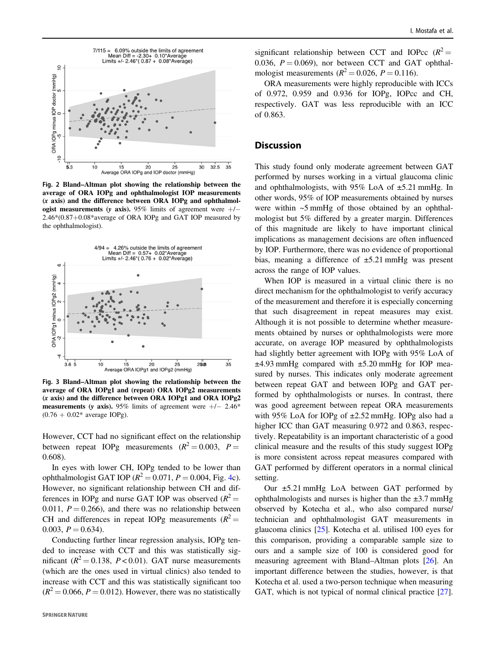<span id="page-3-0"></span>

Fig. 2 Bland–Altman plot showing the relationship between the average of ORA IOPg and ophthalmologist IOP measurements (x axis) and the difference between ORA IOPg and ophthalmologist measurements (y axis). 95% limits of agreement were  $+/-$ 2.46\*(0.87+0.08\*average of ORA IOPg and GAT IOP measured by the ophthalmologist).



Fig. 3 Bland–Altman plot showing the relationship between the average of ORA IOPg1 and (repeat) ORA IOPg2 measurements (x axis) and the difference between ORA IOPg1 and ORA IOPg2 measurements (y axis). 95% limits of agreement were  $+/- 2.46*$  $(0.76 + 0.02^*)$  average IOPg).

However, CCT had no significant effect on the relationship between repeat IOPg measurements  $(R^2 = 0.003, P =$ 0.608).

In eyes with lower CH, IOPg tended to be lower than ophthalmologist GAT IOP ( $R^2 = 0.071$ ,  $P = 0.004$  $P = 0.004$ , Fig. 4c). However, no significant relationship between CH and differences in IOPg and nurse GAT IOP was observed  $(R^2 =$ 0.011,  $P = 0.266$ , and there was no relationship between CH and differences in repeat IOPg measurements  $(R^2 =$ 0.003,  $P = 0.634$ ).

Conducting further linear regression analysis, IOPg tended to increase with CCT and this was statistically significant ( $R^2 = 0.138$ ,  $P < 0.01$ ). GAT nurse measurements (which are the ones used in virtual clinics) also tended to increase with CCT and this was statistically significant too  $(R^2 = 0.066, P = 0.012)$ . However, there was no statistically significant relationship between CCT and IOPcc  $(R^2 =$ 0.036,  $P = 0.069$ , nor between CCT and GAT ophthalmologist measurements ( $R^2 = 0.026$ ,  $P = 0.116$ ).

ORA measurements were highly reproducible with ICCs of 0.972, 0.959 and 0.936 for IOPg, IOPcc and CH, respectively. GAT was less reproducible with an ICC of 0.863.

# **Discussion**

This study found only moderate agreement between GAT performed by nurses working in a virtual glaucoma clinic and ophthalmologists, with 95% LoA of ±5.21 mmHg. In other words, 95% of IOP measurements obtained by nurses were within ~5 mmHg of those obtained by an ophthalmologist but 5% differed by a greater margin. Differences of this magnitude are likely to have important clinical implications as management decisions are often influenced by IOP. Furthermore, there was no evidence of proportional bias, meaning a difference of ±5.21 mmHg was present across the range of IOP values.

When IOP is measured in a virtual clinic there is no direct mechanism for the ophthalmologist to verify accuracy of the measurement and therefore it is especially concerning that such disagreement in repeat measures may exist. Although it is not possible to determine whether measurements obtained by nurses or ophthalmologists were more accurate, on average IOP measured by ophthalmologists had slightly better agreement with IOPg with 95% LoA of  $\pm$ 4.93 mmHg compared with  $\pm$ 5.20 mmHg for IOP measured by nurses. This indicates only moderate agreement between repeat GAT and between IOPg and GAT performed by ophthalmologists or nurses. In contrast, there was good agreement between repeat ORA measurements with 95% LoA for IOPg of ±2.52 mmHg. IOPg also had a higher ICC than GAT measuring 0.972 and 0.863, respectively. Repeatability is an important characteristic of a good clinical measure and the results of this study suggest IOPg is more consistent across repeat measures compared with GAT performed by different operators in a normal clinical setting.

Our ±5.21 mmHg LoA between GAT performed by ophthalmologists and nurses is higher than the  $\pm 3.7$  mmHg observed by Kotecha et al., who also compared nurse/ technician and ophthalmologist GAT measurements in glaucoma clinics [[25\]](#page-6-0). Kotecha et al. utilised 100 eyes for this comparison, providing a comparable sample size to ours and a sample size of 100 is considered good for measuring agreement with Bland–Altman plots [\[26](#page-6-0)]. An important difference between the studies, however, is that Kotecha et al. used a two-person technique when measuring GAT, which is not typical of normal clinical practice [[27\]](#page-6-0).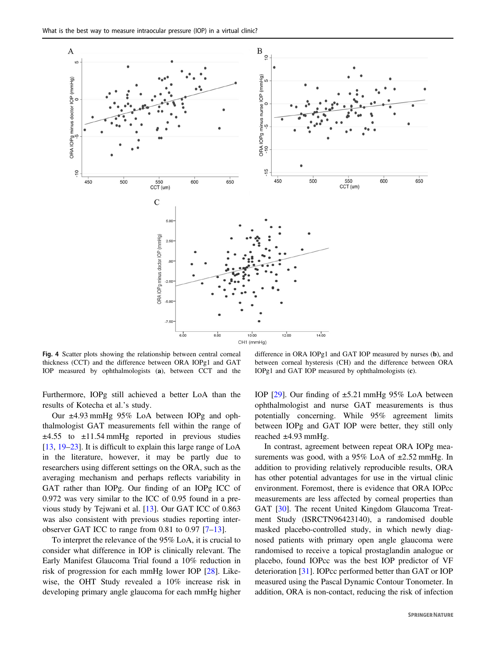<span id="page-4-0"></span>

Fig. 4 Scatter plots showing the relationship between central corneal thickness (CCT) and the difference between ORA IOPg1 and GAT IOP measured by ophthalmologists (a), between CCT and the

Furthermore, IOPg still achieved a better LoA than the results of Kotecha et al.'s study.

Our ±4.93 mmHg 95% LoA between IOPg and ophthalmologist GAT measurements fell within the range of  $\pm 4.55$  to  $\pm 11.54$  mmHg reported in previous studies [\[13](#page-6-0), [19](#page-6-0)–[23](#page-6-0)]. It is difficult to explain this large range of LoA in the literature, however, it may be partly due to researchers using different settings on the ORA, such as the averaging mechanism and perhaps reflects variability in GAT rather than IOPg. Our finding of an IOPg ICC of 0.972 was very similar to the ICC of 0.95 found in a previous study by Tejwani et al. [[13\]](#page-6-0). Our GAT ICC of 0.863 was also consistent with previous studies reporting interobserver GAT ICC to range from 0.81 to 0.97 [\[7](#page-6-0)–[13](#page-6-0)].

To interpret the relevance of the 95% LoA, it is crucial to consider what difference in IOP is clinically relevant. The Early Manifest Glaucoma Trial found a 10% reduction in risk of progression for each mmHg lower IOP [\[28](#page-6-0)]. Likewise, the OHT Study revealed a 10% increase risk in developing primary angle glaucoma for each mmHg higher

difference in ORA IOPg1 and GAT IOP measured by nurses (b), and between corneal hysteresis (CH) and the difference between ORA IOPg1 and GAT IOP measured by ophthalmologists (c).

IOP  $[29]$  $[29]$ . Our finding of  $\pm 5.21$  mmHg 95% LoA between ophthalmologist and nurse GAT measurements is thus potentially concerning. While 95% agreement limits between IOPg and GAT IOP were better, they still only reached ±4.93 mmHg.

In contrast, agreement between repeat ORA IOPg measurements was good, with a 95% LoA of  $\pm 2.52$  mmHg. In addition to providing relatively reproducible results, ORA has other potential advantages for use in the virtual clinic environment. Foremost, there is evidence that ORA IOPcc measurements are less affected by corneal properties than GAT [\[30](#page-6-0)]. The recent United Kingdom Glaucoma Treatment Study (ISRCTN96423140), a randomised double masked placebo-controlled study, in which newly diagnosed patients with primary open angle glaucoma were randomised to receive a topical prostaglandin analogue or placebo, found IOPcc was the best IOP predictor of VF deterioration [\[31](#page-6-0)]. IOPcc performed better than GAT or IOP measured using the Pascal Dynamic Contour Tonometer. In addition, ORA is non-contact, reducing the risk of infection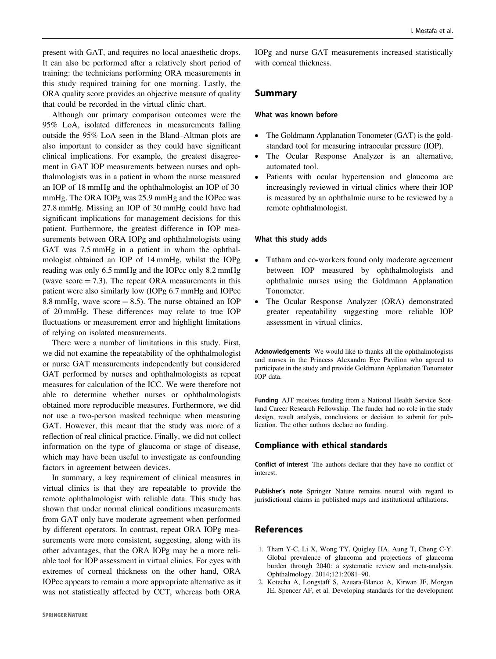<span id="page-5-0"></span>present with GAT, and requires no local anaesthetic drops. It can also be performed after a relatively short period of training: the technicians performing ORA measurements in this study required training for one morning. Lastly, the ORA quality score provides an objective measure of quality that could be recorded in the virtual clinic chart.

Although our primary comparison outcomes were the 95% LoA, isolated differences in measurements falling outside the 95% LoA seen in the Bland–Altman plots are also important to consider as they could have significant clinical implications. For example, the greatest disagreement in GAT IOP measurements between nurses and ophthalmologists was in a patient in whom the nurse measured an IOP of 18 mmHg and the ophthalmologist an IOP of 30 mmHg. The ORA IOPg was 25.9 mmHg and the IOPcc was 27.8 mmHg. Missing an IOP of 30 mmHg could have had significant implications for management decisions for this patient. Furthermore, the greatest difference in IOP measurements between ORA IOPg and ophthalmologists using GAT was 7.5 mmHg in a patient in whom the ophthalmologist obtained an IOP of 14 mmHg, whilst the IOPg reading was only 6.5 mmHg and the IOPcc only 8.2 mmHg (wave score  $= 7.3$ ). The repeat ORA measurements in this patient were also similarly low (IOPg 6.7 mmHg and IOPcc 8.8 mmHg, wave score  $= 8.5$ ). The nurse obtained an IOP of 20 mmHg. These differences may relate to true IOP fluctuations or measurement error and highlight limitations of relying on isolated measurements.

There were a number of limitations in this study. First, we did not examine the repeatability of the ophthalmologist or nurse GAT measurements independently but considered GAT performed by nurses and ophthalmologists as repeat measures for calculation of the ICC. We were therefore not able to determine whether nurses or ophthalmologists obtained more reproducible measures. Furthermore, we did not use a two-person masked technique when measuring GAT. However, this meant that the study was more of a reflection of real clinical practice. Finally, we did not collect information on the type of glaucoma or stage of disease, which may have been useful to investigate as confounding factors in agreement between devices.

In summary, a key requirement of clinical measures in virtual clinics is that they are repeatable to provide the remote ophthalmologist with reliable data. This study has shown that under normal clinical conditions measurements from GAT only have moderate agreement when performed by different operators. In contrast, repeat ORA IOPg measurements were more consistent, suggesting, along with its other advantages, that the ORA IOPg may be a more reliable tool for IOP assessment in virtual clinics. For eyes with extremes of corneal thickness on the other hand, ORA IOPcc appears to remain a more appropriate alternative as it was not statistically affected by CCT, whereas both ORA

IOPg and nurse GAT measurements increased statistically with corneal thickness.

### Summary

#### What was known before

- The Goldmann Applanation Tonometer (GAT) is the goldstandard tool for measuring intraocular pressure (IOP).
- The Ocular Response Analyzer is an alternative, automated tool.
- Patients with ocular hypertension and glaucoma are increasingly reviewed in virtual clinics where their IOP is measured by an ophthalmic nurse to be reviewed by a remote ophthalmologist.

#### What this study adds

- Tatham and co-workers found only moderate agreement between IOP measured by ophthalmologists and ophthalmic nurses using the Goldmann Applanation Tonometer.
- The Ocular Response Analyzer (ORA) demonstrated greater repeatability suggesting more reliable IOP assessment in virtual clinics.

Acknowledgements We would like to thanks all the ophthalmologists and nurses in the Princess Alexandra Eye Pavilion who agreed to participate in the study and provide Goldmann Applanation Tonometer IOP data.

Funding AJT receives funding from a National Health Service Scotland Career Research Fellowship. The funder had no role in the study design, result analysis, conclusions or decision to submit for publication. The other authors declare no funding.

#### Compliance with ethical standards

Conflict of interest The authors declare that they have no conflict of interest.

Publisher's note Springer Nature remains neutral with regard to jurisdictional claims in published maps and institutional affiliations.

## References

- 1. Tham Y-C, Li X, Wong TY, Quigley HA, Aung T, Cheng C-Y. Global prevalence of glaucoma and projections of glaucoma burden through 2040: a systematic review and meta-analysis. Ophthalmology. 2014;121:2081–90.
- 2. Kotecha A, Longstaff S, Azuara-Blanco A, Kirwan JF, Morgan JE, Spencer AF, et al. Developing standards for the development